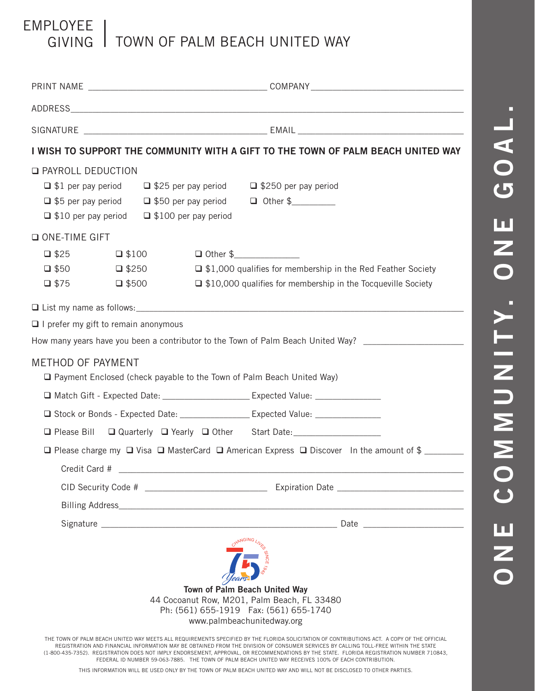## EMPLOYEE GIVING TOWN OF PALM BEACH UNITED WAY

|                                             | I WISH TO SUPPORT THE COMMUNITY WITH A GIFT TO THE TOWN OF PALM BEACH UNITED WAY                                                                                                                                                                                                                     |
|---------------------------------------------|------------------------------------------------------------------------------------------------------------------------------------------------------------------------------------------------------------------------------------------------------------------------------------------------------|
| <b>Q PAYROLL DEDUCTION</b>                  | $\Box$ \$1 per pay period $\Box$ \$25 per pay period $\Box$ \$250 per pay period<br>$\Box$ \$5 per pay period $\Box$ \$50 per pay period $\Box$ Other \$<br>$\Box$ \$10 per pay period $\Box$ \$100 per pay period                                                                                   |
| O ONE-TIME GIFT                             |                                                                                                                                                                                                                                                                                                      |
| $\Box$ \$25<br>$\Box$ \$50<br>$\Box$ \$75   | $\Box$ Other \$<br>$\Box$ \$100<br>□ \$1,000 qualifies for membership in the Red Feather Society<br>$\Box$ \$250<br>$\Box$ \$500<br>$\Box$ \$10,000 qualifies for membership in the Tocqueville Society                                                                                              |
|                                             |                                                                                                                                                                                                                                                                                                      |
| $\Box$ I prefer my gift to remain anonymous |                                                                                                                                                                                                                                                                                                      |
|                                             | How many years have you been a contributor to the Town of Palm Beach United Way? _____________________________                                                                                                                                                                                       |
| <b>METHOD OF PAYMENT</b>                    | □ Payment Enclosed (check payable to the Town of Palm Beach United Way)                                                                                                                                                                                                                              |
|                                             |                                                                                                                                                                                                                                                                                                      |
|                                             |                                                                                                                                                                                                                                                                                                      |
|                                             | □ Please Bill □ Quarterly □ Yearly □ Other Start Date: ___________________                                                                                                                                                                                                                           |
|                                             | $\Box$ Please charge my $\Box$ Visa $\Box$ MasterCard $\Box$ American Express $\Box$ Discover In the amount of \$                                                                                                                                                                                    |
| Credit Card #                               |                                                                                                                                                                                                                                                                                                      |
|                                             |                                                                                                                                                                                                                                                                                                      |
|                                             |                                                                                                                                                                                                                                                                                                      |
|                                             |                                                                                                                                                                                                                                                                                                      |
|                                             | Town of Palm Beach United Way<br>44 Cocoanut Row, M201, Palm Beach, FL 33480<br>Ph: (561) 655-1919  Fax: (561) 655-1740<br>www.palmbeachunitedway.org<br>THE TOWN OF PALM BEACH UNITED WAY MEETS ALL REQUIREMENTS SPECIFIED BY THE FLORIDA SOLICITATION OF CONTRIBUTIONS ACT. A COPY OF THE OFFICIAL |

REGISTRATION AND FINANCIAL INFORMATION MAY BE OBTAINED FROM THE DIVISION OF CONSUMER SERVICES BY CALLING TOLL-FREE WITHIN THE STATE (1-800-435-7352). REGISTRATION DOES NOT IMPLY ENDORSEMENT, APPROVAL, OR RECOMMENDATIONS BY THE STATE. FLORIDA REGISTRATION NUMBER 710843, FEDERAL ID NUMBER 59-063-7885. THE TOWN OF PALM BEACH UNITED WAY RECEIVES 100% OF EACH CONTRIBUTION.